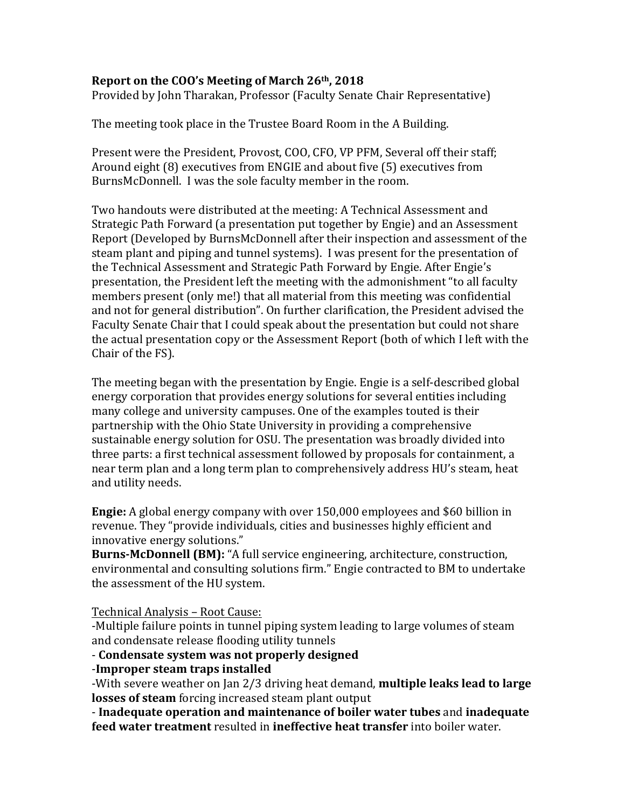## **Report on the COO's Meeting of March 26th, 2018**

Provided by John Tharakan, Professor (Faculty Senate Chair Representative)

The meeting took place in the Trustee Board Room in the A Building.

Present were the President, Provost, COO, CFO, VP PFM, Several off their staff; Around eight (8) executives from ENGIE and about five (5) executives from BurnsMcDonnell. I was the sole faculty member in the room.

Two handouts were distributed at the meeting: A Technical Assessment and Strategic Path Forward (a presentation put together by Engie) and an Assessment Report (Developed by BurnsMcDonnell after their inspection and assessment of the steam plant and piping and tunnel systems). I was present for the presentation of the Technical Assessment and Strategic Path Forward by Engie. After Engie's presentation, the President left the meeting with the admonishment "to all faculty members present (only me!) that all material from this meeting was confidential and not for general distribution". On further clarification, the President advised the Faculty Senate Chair that I could speak about the presentation but could not share the actual presentation copy or the Assessment Report (both of which I left with the Chair of the FS).

The meeting began with the presentation by Engie. Engie is a self-described global energy corporation that provides energy solutions for several entities including many college and university campuses. One of the examples touted is their partnership with the Ohio State University in providing a comprehensive sustainable energy solution for OSU. The presentation was broadly divided into three parts: a first technical assessment followed by proposals for containment, a near term plan and a long term plan to comprehensively address HU's steam, heat and utility needs.

**Engie:** A global energy company with over 150,000 employees and \$60 billion in revenue. They "provide individuals, cities and businesses highly efficient and innovative energy solutions."

**Burns-McDonnell (BM):** "A full service engineering, architecture, construction, environmental and consulting solutions firm." Engie contracted to BM to undertake the assessment of the HU system.

Technical Analysis - Root Cause:

-Multiple failure points in tunnel piping system leading to large volumes of steam and condensate release flooding utility tunnels

## - **Condensate system was not properly designed**

-**Improper steam traps installed**

-With severe weather on Jan 2/3 driving heat demand, **multiple leaks lead to large losses of steam** forcing increased steam plant output

- **Inadequate operation and maintenance of boiler water tubes** and **inadequate feed water treatment** resulted in **ineffective heat transfer** into boiler water.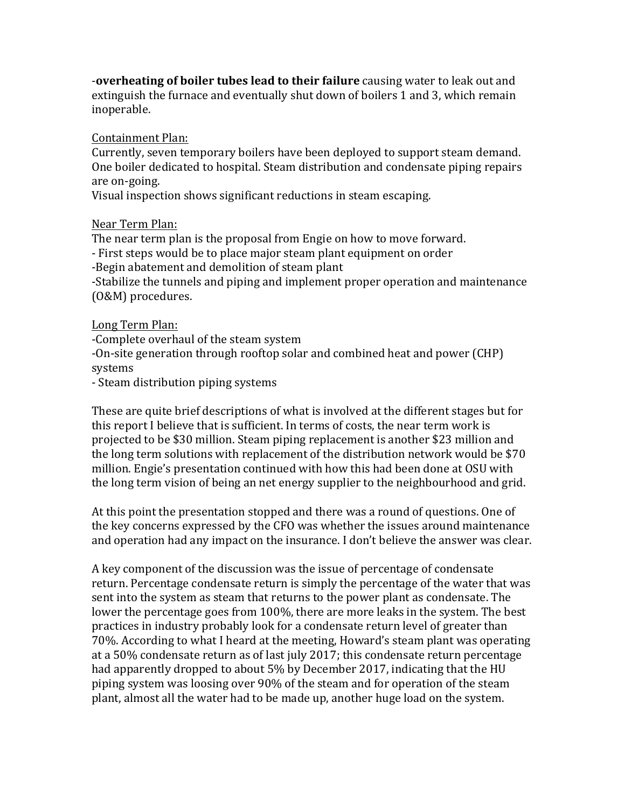**-overheating of boiler tubes lead to their failure** causing water to leak out and extinguish the furnace and eventually shut down of boilers 1 and 3, which remain inoperable.

Containment Plan:

Currently, seven temporary boilers have been deployed to support steam demand. One boiler dedicated to hospital. Steam distribution and condensate piping repairs are on-going.

Visual inspection shows significant reductions in steam escaping.

## Near Term Plan:

The near term plan is the proposal from Engie on how to move forward.

- First steps would be to place major steam plant equipment on order

-Begin abatement and demolition of steam plant

-Stabilize the tunnels and piping and implement proper operation and maintenance (O&M) procedures.

## Long Term Plan:

-Complete overhaul of the steam system

-On-site generation through rooftop solar and combined heat and power (CHP) systems

- Steam distribution piping systems

These are quite brief descriptions of what is involved at the different stages but for this report I believe that is sufficient. In terms of costs, the near term work is projected to be \$30 million. Steam piping replacement is another \$23 million and the long term solutions with replacement of the distribution network would be  $$70$ million. Engie's presentation continued with how this had been done at OSU with the long term vision of being an net energy supplier to the neighbourhood and grid.

At this point the presentation stopped and there was a round of questions. One of the key concerns expressed by the CFO was whether the issues around maintenance and operation had any impact on the insurance. I don't believe the answer was clear.

A key component of the discussion was the issue of percentage of condensate return. Percentage condensate return is simply the percentage of the water that was sent into the system as steam that returns to the power plant as condensate. The lower the percentage goes from 100%, there are more leaks in the system. The best practices in industry probably look for a condensate return level of greater than 70%. According to what I heard at the meeting, Howard's steam plant was operating at a 50% condensate return as of last july 2017; this condensate return percentage had apparently dropped to about 5% by December 2017, indicating that the HU piping system was loosing over 90% of the steam and for operation of the steam plant, almost all the water had to be made up, another huge load on the system.